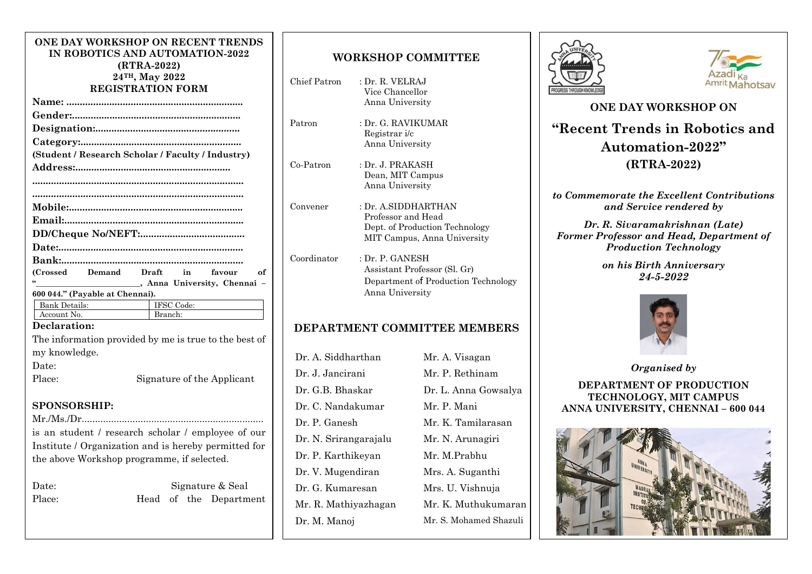#### **ONE DAY WORKSHOP ON RECENT TRENDS IN ROBOTICS AND AUTOMATION-2022 (RTRA-2022) 24TH, May 2022 REGISTRATION FORM**

|               |                                 | (Student / Research Scholar / Faculty / Industry)     |
|---------------|---------------------------------|-------------------------------------------------------|
|               |                                 |                                                       |
|               |                                 |                                                       |
|               |                                 |                                                       |
|               |                                 |                                                       |
|               |                                 |                                                       |
|               |                                 |                                                       |
|               |                                 |                                                       |
|               |                                 |                                                       |
|               |                                 | (Crossed Demand Draft in<br>of<br>favour              |
|               |                                 | Manuel Manuel Anna University, Chennai -              |
|               | 600 044." (Payable at Chennai). |                                                       |
|               |                                 | IFSC Code:                                            |
|               | Account No.                     | Branch:                                               |
| Declaration:  |                                 |                                                       |
|               |                                 | The information provided by me is true to the best of |
| my knowledge. |                                 |                                                       |
| Date:         |                                 |                                                       |
| Place:        |                                 | Signature of the Applicant                            |
|               |                                 |                                                       |
|               |                                 |                                                       |

### **SPONSORSHIP:**

Mr./Ms./Dr.................................................................... is an student / research scholar / employee of our Institute / Organization and is hereby permitted for the above Workshop programme, if selected.

| Date:  | Signature & Seal |  |  |                        |  |
|--------|------------------|--|--|------------------------|--|
| Place: |                  |  |  | Head of the Department |  |

# **WORKSHOP COMMITTEE**

- Chief Patron : Dr. R. VELRAJ Vice Chancellor Anna University
- Patron : Dr. G. RAVIKUMAR Registrar i/c Anna University
- Co-Patron : Dr. J. PRAKASH Dean, MIT Campus Anna University
- Convener : Dr. A.SIDDHARTHAN Professor and Head Dept. of Production Technology MIT Campus, Anna University
- Coordinator : Dr. P. GANESH Assistant Professor (Sl. Gr) Department of Production Technology Anna University

# **DEPARTMENT COMMITTEE MEMBERS**

Dr. A. Siddharthan Mr. A. Visagan Dr. J. Jancirani Mr. P. Rethinam Dr. G.B. Bhaskar Dr. L. Anna Gowsalya Dr. C. Nandakumar Mr. P. Mani Dr. P. Ganesh Mr. K. Tamilarasan Dr. N. Srirangarajalu Mr. N. Arunagiri Dr. P. Karthikeyan Mr. M.Prabhu Dr. V. Mugendiran Mrs. A. Suganthi Dr. G. Kumaresan Mrs. U. Vishnuja Mr. R. Mathiyazhagan Mr. K. Muthukumaran Dr. M. Manoj Mr. S. Mohamed Shazuli





# **ONE DAY WORKSHOP ON "Recent Trends in Robotics and Automation-2022" (RTRA-2022)**

*to Commemorate the Excellent Contributions and Service rendered by*

*Dr. R. Sivaramakrishnan (Late) Former Professor and Head, Department of Production Technology*

> *on his Birth Anniversary 24-5-2022*



*Organised by*  **DEPARTMENT OF PRODUCTION TECHNOLOGY, MIT CAMPUS ANNA UNIVERSITY, CHENNAI – 600 044**